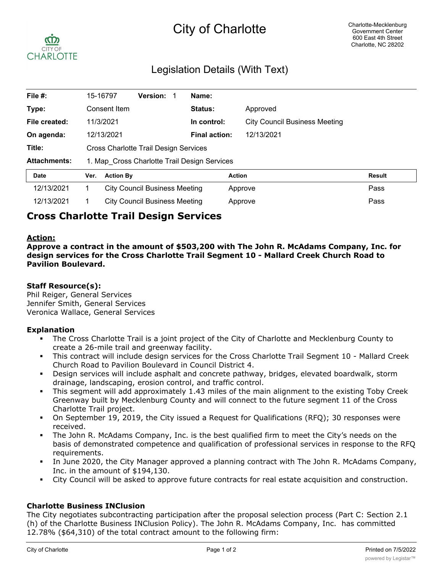# City of Charlotte



# Legislation Details (With Text)

| File #:             | 15-16797                                     |                  | Version:                             |  | Name:                |                                      |               |
|---------------------|----------------------------------------------|------------------|--------------------------------------|--|----------------------|--------------------------------------|---------------|
| Type:               |                                              | Consent Item     |                                      |  | <b>Status:</b>       | Approved                             |               |
| File created:       |                                              | 11/3/2021        |                                      |  | In control:          | <b>City Council Business Meeting</b> |               |
| On agenda:          |                                              | 12/13/2021       |                                      |  | <b>Final action:</b> | 12/13/2021                           |               |
| Title:              | Cross Charlotte Trail Design Services        |                  |                                      |  |                      |                                      |               |
| <b>Attachments:</b> | 1. Map Cross Charlotte Trail Design Services |                  |                                      |  |                      |                                      |               |
| <b>Date</b>         | Ver.                                         | <b>Action By</b> |                                      |  |                      | <b>Action</b>                        | <b>Result</b> |
| 12/13/2021          |                                              |                  | <b>City Council Business Meeting</b> |  |                      | Approve                              | Pass          |
| 12/13/2021          |                                              |                  | <b>City Council Business Meeting</b> |  |                      | Approve                              | Pass          |

# **Cross Charlotte Trail Design Services**

#### **Action:**

**Approve a contract in the amount of \$503,200 with The John R. McAdams Company, Inc. for design services for the Cross Charlotte Trail Segment 10 - Mallard Creek Church Road to Pavilion Boulevard.**

#### **Staff Resource(s):**

Phil Reiger, General Services Jennifer Smith, General Services Veronica Wallace, General Services

#### **Explanation**

- The Cross Charlotte Trail is a joint project of the City of Charlotte and Mecklenburg County to create a 26-mile trail and greenway facility.
- § This contract will include design services for the Cross Charlotte Trail Segment 10 Mallard Creek Church Road to Pavilion Boulevard in Council District 4.
- § Design services will include asphalt and concrete pathway, bridges, elevated boardwalk, storm drainage, landscaping, erosion control, and traffic control.
- This segment will add approximately 1.43 miles of the main alignment to the existing Toby Creek Greenway built by Mecklenburg County and will connect to the future segment 11 of the Cross Charlotte Trail project.
- On September 19, 2019, the City issued a Request for Qualifications (RFQ); 30 responses were received.
- The John R. McAdams Company, Inc. is the best qualified firm to meet the City's needs on the basis of demonstrated competence and qualification of professional services in response to the RFQ requirements.
- In June 2020, the City Manager approved a planning contract with The John R. McAdams Company, Inc. in the amount of \$194,130.
- City Council will be asked to approve future contracts for real estate acquisition and construction.

### **Charlotte Business INClusion**

The City negotiates subcontracting participation after the proposal selection process (Part C: Section 2.1 (h) of the Charlotte Business INClusion Policy). The John R. McAdams Company, Inc. has committed 12.78% (\$64,310) of the total contract amount to the following firm: